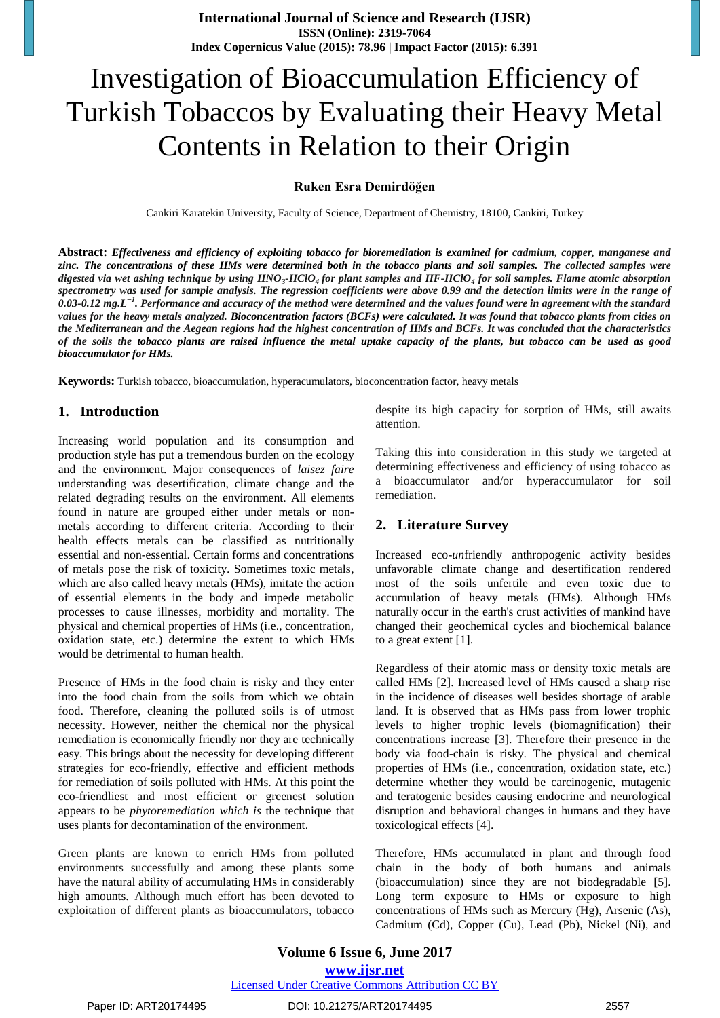# Investigation of Bioaccumulation Efficiency of Turkish Tobaccos by Evaluating their Heavy Metal Contents in Relation to their Origin

## **Ruken Esra Demirdöğen**

Cankiri Karatekin University, Faculty of Science, Department of Chemistry, 18100, Cankiri, Turkey

**Abstract:** *Effectiveness and efficiency of exploiting tobacco for bioremediation is examined for cadmium, copper, manganese and zinc. The concentrations of these HMs were determined both in the tobacco plants and soil samples. The collected samples were digested via wet ashing technique by using HNO<sup>3</sup> -HClO4 for plant samples and HF-HClO<sup>4</sup> for soil samples. Flame atomic absorption spectrometry was used for sample analysis. The regression coefficients were above 0.99 and the detection limits were in the range of 0.03-0.12 mg.L−1. Performance and accuracy of the method were determined and the values found were in agreement with the standard values for the heavy metals analyzed. Bioconcentration factors (BCFs) were calculated. It was found that tobacco plants from cities on the Mediterranean and the Aegean regions had the highest concentration of HMs and BCFs. It was concluded that the characteristics of the soils the tobacco plants are raised influence the metal uptake capacity of the plants, but tobacco can be used as good bioaccumulator for HMs.*

**Keywords:** Turkish tobacco, bioaccumulation, hyperacumulators, bioconcentration factor, heavy metals

# **1. Introduction**

Increasing world population and its consumption and production style has put a tremendous burden on the ecology and the environment. Major consequences of *laisez faire* understanding was desertification, climate change and the related degrading results on the environment. All elements found in nature are grouped either under metals or nonmetals according to different criteria. According to their health effects metals can be classified as nutritionally essential and non-essential. Certain forms and concentrations of metals pose the risk of toxicity. Sometimes toxic metals, which are also called heavy metals (HMs), imitate the action of essential elements in the body and impede metabolic processes to cause illnesses, morbidity and mortality. The physical and chemical properties of HMs (i.e., concentration, oxidation state, etc.) determine the extent to which HMs would be detrimental to human health.

Presence of HMs in the food chain is risky and they enter into the food chain from the soils from which we obtain food. Therefore, cleaning the polluted soils is of utmost necessity. However, neither the chemical nor the physical remediation is economically friendly nor they are technically easy. This brings about the necessity for developing different strategies for eco-friendly, effective and efficient methods for remediation of soils polluted with HMs. At this point the eco-friendliest and most efficient or greenest solution appears to be *phytoremediation which is* the technique that uses plants for decontamination of the environment.

Green plants are known to enrich HMs from polluted environments successfully and among these plants some have the natural ability of accumulating HMs in considerably high amounts. Although much effort has been devoted to exploitation of different plants as bioaccumulators, tobacco despite its high capacity for sorption of HMs, still awaits attention.

Taking this into consideration in this study we targeted at determining effectiveness and efficiency of using tobacco as bioaccumulator and/or hyperaccumulator for soil remediation.

## **2. Literature Survey**

Increased eco-*un*friendly anthropogenic activity besides unfavorable climate change and desertification rendered most of the soils unfertile and even toxic due to accumulation of heavy metals (HMs). Although HMs naturally occur in the earth's crust activities of mankind have changed their geochemical cycles and biochemical balance to a great extent [1].

Regardless of their atomic mass or density toxic metals are called HMs [2]. Increased level of HMs caused a sharp rise in the incidence of diseases well besides shortage of arable land. It is observed that as HMs pass from lower trophic levels to higher trophic levels (biomagnification) their concentrations increase [3]. Therefore their presence in the body via food-chain is risky. The physical and chemical properties of HMs (i.e., concentration, oxidation state, etc.) determine whether they would be carcinogenic, mutagenic and teratogenic besides causing endocrine and neurological disruption and behavioral changes in humans and they have toxicological effects [4].

Therefore, HMs accumulated in plant and through food chain in the body of both humans and animals (bioaccumulation) since they are not biodegradable [5]. Long term exposure to HMs or exposure to high concentrations of HMs such as Mercury (Hg), Arsenic (As), Cadmium (Cd), Copper (Cu), Lead (Pb), Nickel (Ni), and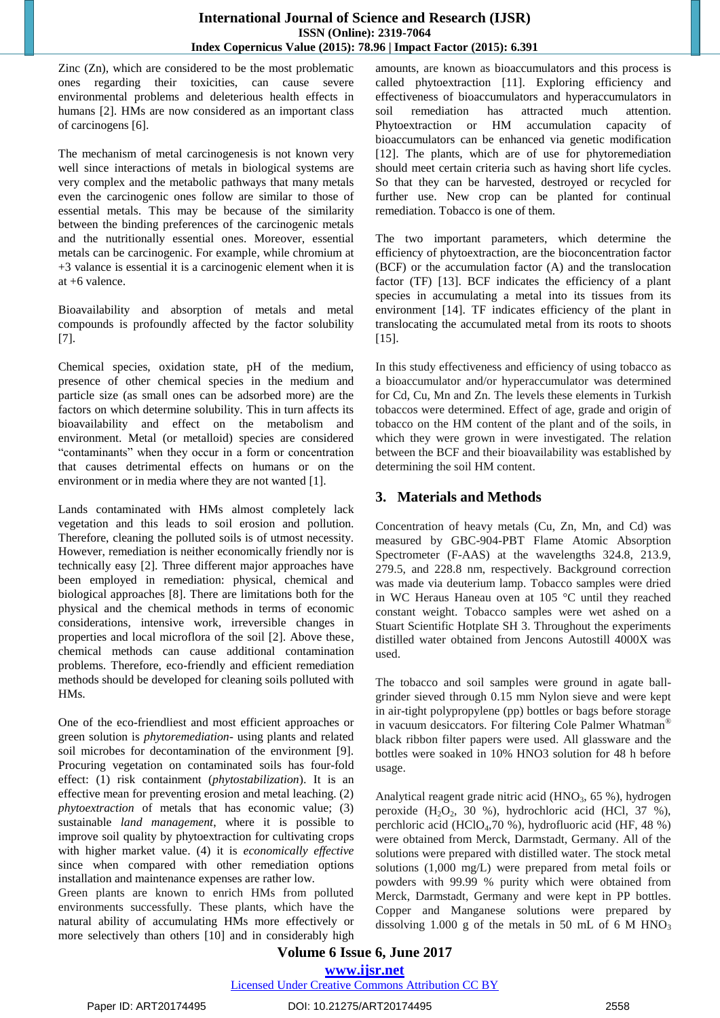Zinc (Zn), which are considered to be the most problematic ones regarding their toxicities, can cause severe environmental problems and deleterious health effects in humans [2]. HMs are now considered as an important class of carcinogens [6].

The mechanism of metal carcinogenesis is not known very well since interactions of metals in biological systems are very complex and the metabolic pathways that many metals even the carcinogenic ones follow are similar to those of essential metals. This may be because of the similarity between the binding preferences of the carcinogenic metals and the nutritionally essential ones. Moreover, essential metals can be carcinogenic. For example, while chromium at +3 valance is essential it is a carcinogenic element when it is at +6 valence.

Bioavailability and absorption of metals and metal compounds is profoundly affected by the factor solubility [7].

Chemical species, oxidation state, pH of the medium, presence of other chemical species in the medium and particle size (as small ones can be adsorbed more) are the factors on which determine solubility. This in turn affects its bioavailability and effect on the metabolism and environment. Metal (or metalloid) species are considered "contaminants" when they occur in a form or concentration that causes detrimental effects on humans or on the environment or in media where they are not wanted [1].

Lands contaminated with HMs almost completely lack vegetation and this leads to soil erosion and pollution. Therefore, cleaning the polluted soils is of utmost necessity. However, remediation is neither economically friendly nor is technically easy [2]. Three different major approaches have been employed in remediation: physical, chemical and biological approaches [8]. There are limitations both for the physical and the chemical methods in terms of economic considerations, intensive work, irreversible changes in properties and local microflora of the soil [2]. Above these, chemical methods can cause additional contamination problems. Therefore, eco-friendly and efficient remediation methods should be developed for cleaning soils polluted with HMs.

One of the eco-friendliest and most efficient approaches or green solution is *phytoremediation*- using plants and related soil microbes for decontamination of the environment [9]. Procuring vegetation on contaminated soils has four-fold effect: (1) risk containment (*phytostabilization*). It is an effective mean for preventing erosion and metal leaching. (2) *phytoextraction* of metals that has economic value; (3) sustainable *land management*, where it is possible to improve soil quality by phytoextraction for cultivating crops with higher market value. (4) it is *economically effective*  since when compared with other remediation options installation and maintenance expenses are rather low.

Green plants are known to enrich HMs from polluted environments successfully. These plants, which have the natural ability of accumulating HMs more effectively or more selectively than others [10] and in considerably high amounts, are known as bioaccumulators and this process is called phytoextraction [11]. Exploring efficiency and effectiveness of bioaccumulators and hyperaccumulators in soil remediation has attracted much attention. Phytoextraction or HM accumulation capacity of bioaccumulators can be enhanced via genetic modification [12]. The plants, which are of use for phytoremediation should meet certain criteria such as having short life cycles. So that they can be harvested, destroyed or recycled for further use. New crop can be planted for continual remediation. Tobacco is one of them.

The two important parameters, which determine the efficiency of phytoextraction, are the bioconcentration factor (BCF) or the accumulation factor (A) and the translocation factor (TF) [13]. BCF indicates the efficiency of a plant species in accumulating a metal into its tissues from its environment [14]. TF indicates efficiency of the plant in translocating the accumulated metal from its roots to shoots [15].

In this study effectiveness and efficiency of using tobacco as a bioaccumulator and/or hyperaccumulator was determined for Cd, Cu, Mn and Zn. The levels these elements in Turkish tobaccos were determined. Effect of age, grade and origin of tobacco on the HM content of the plant and of the soils, in which they were grown in were investigated. The relation between the BCF and their bioavailability was established by determining the soil HM content.

# **3. Materials and Methods**

Concentration of heavy metals (Cu, Zn, Mn, and Cd) was measured by GBC-904-PBT Flame Atomic Absorption Spectrometer (F-AAS) at the wavelengths 324.8, 213.9, 279.5, and 228.8 nm, respectively. Background correction was made via deuterium lamp. Tobacco samples were dried in WC Heraus Haneau oven at 105 °C until they reached constant weight. Tobacco samples were wet ashed on a Stuart Scientific Hotplate SH 3. Throughout the experiments distilled water obtained from Jencons Autostill 4000X was used.

The tobacco and soil samples were ground in agate ballgrinder sieved through 0.15 mm Nylon sieve and were kept in air-tight polypropylene (pp) bottles or bags before storage in vacuum desiccators. For filtering Cole Palmer Whatman® black ribbon filter papers were used. All glassware and the bottles were soaked in 10% HNO3 solution for 48 h before usage.

Analytical reagent grade nitric acid  $(HNO<sub>3</sub>, 65 \%)$ , hydrogen peroxide  $(H_2O_2, 30 \%)$ , hydrochloric acid (HCl, 37 %), perchloric acid (HClO4,70 %), hydrofluoric acid (HF, 48 %) were obtained from Merck, Darmstadt, Germany. All of the solutions were prepared with distilled water. The stock metal solutions (1,000 mg/L) were prepared from metal foils or powders with 99.99 % purity which were obtained from Merck, Darmstadt, Germany and were kept in PP bottles. Copper and Manganese solutions were prepared by dissolving 1.000 g of the metals in 50 mL of 6 M HNO<sub>3</sub>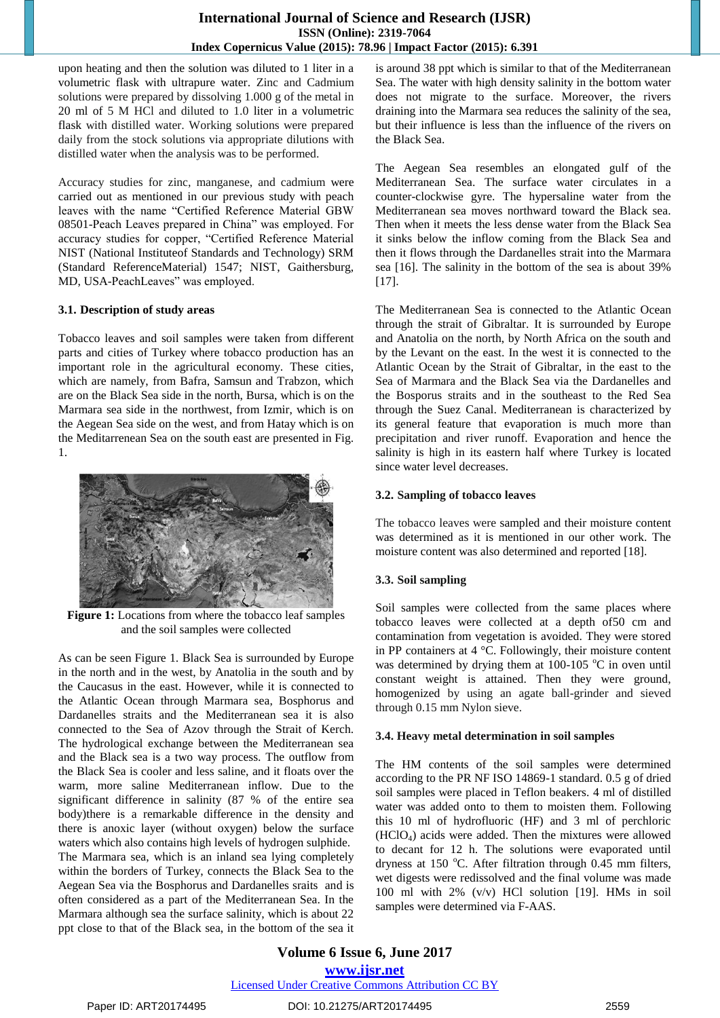## **International Journal of Science and Research (IJSR) ISSN (Online): 2319-7064 Index Copernicus Value (2015): 78.96 | Impact Factor (2015): 6.391**

upon heating and then the solution was diluted to 1 liter in a volumetric flask with ultrapure water. Zinc and Cadmium solutions were prepared by dissolving 1.000 g of the metal in 20 ml of 5 M HCl and diluted to 1.0 liter in a volumetric flask with distilled water. Working solutions were prepared daily from the stock solutions via appropriate dilutions with distilled water when the analysis was to be performed.

Accuracy studies for zinc, manganese, and cadmium were carried out as mentioned in our previous study with peach leaves with the name "Certified Reference Material GBW 08501-Peach Leaves prepared in China" was employed. For accuracy studies for copper, "Certified Reference Material NIST (National Instituteof Standards and Technology) SRM (Standard ReferenceMaterial) 1547; NIST, Gaithersburg, MD, USA-PeachLeaves" was employed.

#### **3.1. Description of study areas**

Tobacco leaves and soil samples were taken from different parts and cities of Turkey where tobacco production has an important role in the agricultural economy. These cities, which are namely, from Bafra, Samsun and Trabzon, which are on the Black Sea side in the north, Bursa, which is on the Marmara sea side in the northwest, from Izmir, which is on the Aegean Sea side on the west, and from Hatay which is on the Meditarrenean Sea on the south east are presented in Fig. 1.



**Figure 1:** Locations from where the tobacco leaf samples and the soil samples were collected

As can be seen Figure 1. Black Sea is surrounded by Europe in the north and in the west, by Anatolia in the south and by the Caucasus in the east. However, while it is connected to the Atlantic Ocean through Marmara sea, Bosphorus and Dardanelles straits and the Mediterranean sea it is also connected to the Sea of Azov through the Strait of Kerch. The hydrological exchange between the Mediterranean sea and the Black sea is a two way process. The outflow from the Black Sea is cooler and less saline, and it floats over the warm, more saline Mediterranean inflow. Due to the significant difference in salinity (87 % of the entire sea body)there is a remarkable difference in the density and there is anoxic layer (without oxygen) below the surface waters which also contains high levels of hydrogen sulphide. The Marmara sea, which is an inland sea lying completely within the borders of Turkey, connects the Black Sea to the Aegean Sea via the Bosphorus and Dardanelles sraits and is often considered as a part of the Mediterranean Sea. In the Marmara although sea the surface salinity, which is about 22 ppt close to that of the Black sea, in the bottom of the sea it is around 38 ppt which is similar to that of the Mediterranean Sea. The water with high density salinity in the bottom water does not migrate to the surface. Moreover, the rivers draining into the Marmara sea reduces the salinity of the sea, but their influence is less than the influence of the rivers on the Black Sea.

The Aegean Sea resembles an elongated gulf of the Mediterranean Sea. The surface water circulates in a counter-clockwise gyre. The hypersaline water from the Mediterranean sea moves northward toward the Black sea. Then when it meets the less dense water from the Black Sea it sinks below the inflow coming from the Black Sea and then it flows through the Dardanelles strait into the Marmara sea [16]. The salinity in the bottom of the sea is about 39% [17].

The Mediterranean Sea is connected to the Atlantic Ocean through the strait of Gibraltar. It is surrounded by Europe and Anatolia on the north, by North Africa on the south and by the Levant on the east. In the west it is connected to the Atlantic Ocean by the Strait of Gibraltar, in the east to the Sea of Marmara and the Black Sea via the Dardanelles and the Bosporus straits and in the southeast to the Red Sea through the Suez Canal. Mediterranean is characterized by its general feature that evaporation is much more than precipitation and river runoff. Evaporation and hence the salinity is high in its eastern half where Turkey is located since water level decreases.

## **3.2. Sampling of tobacco leaves**

The tobacco leaves were sampled and their moisture content was determined as it is mentioned in our other work. The moisture content was also determined and reported [18].

# **3.3. Soil sampling**

Soil samples were collected from the same places where tobacco leaves were collected at a depth of50 cm and contamination from vegetation is avoided. They were stored in PP containers at 4 °C. Followingly, their moisture content was determined by drying them at  $100-105$  °C in oven until constant weight is attained. Then they were ground, homogenized by using an agate ball-grinder and sieved through 0.15 mm Nylon sieve.

## **3.4. Heavy metal determination in soil samples**

The HM contents of the soil samples were determined according to the PR NF ISO 14869-1 standard. 0.5 g of dried soil samples were placed in Teflon beakers. 4 ml of distilled water was added onto to them to moisten them. Following this 10 ml of hydrofluoric (HF) and 3 ml of perchloric (HClO4) acids were added. Then the mixtures were allowed to decant for 12 h. The solutions were evaporated until dryness at 150 °C. After filtration through 0.45 mm filters, wet digests were redissolved and the final volume was made 100 ml with 2% (v/v) HCl solution [19]. HMs in soil samples were determined via F-AAS.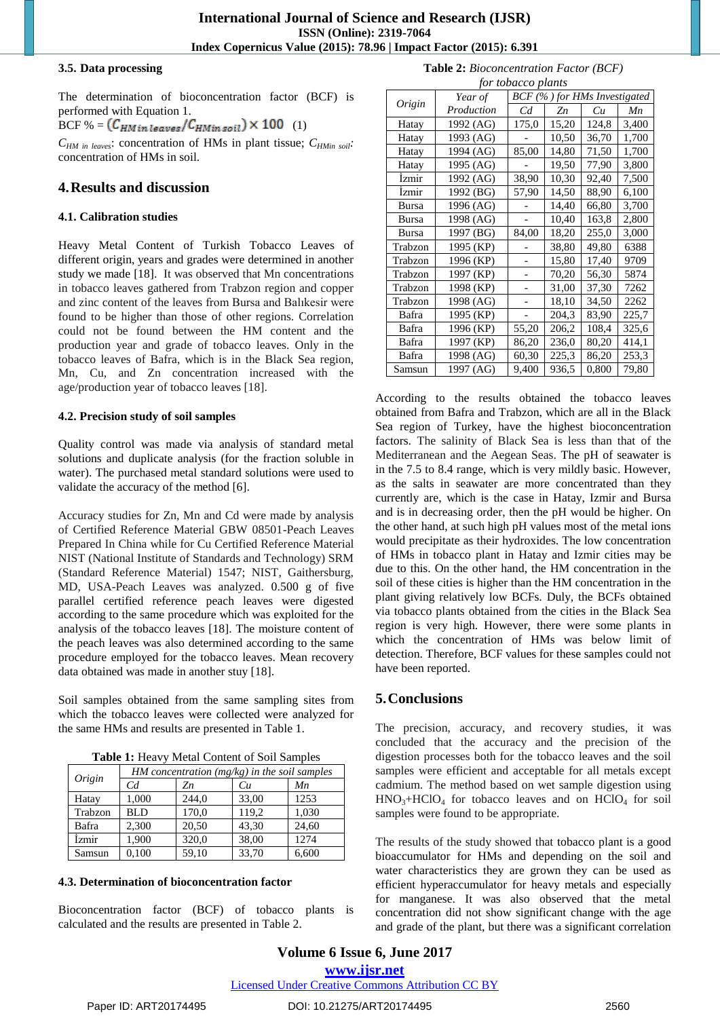#### **3.5. Data processing**

The determination of bioconcentration factor (BCF) is performed with Equation 1. BCF % =  $(C_{HM\, in\, leaves}/C_{HM\, in\, soil}) \times 100$  (1)

 $C_{HM}$  in leaves: concentration of HMs in plant tissue;  $C_{HMin}$  soil<sup>2</sup> concentration of HMs in soil.

# **4.Results and discussion**

## **4.1. Calibration studies**

Heavy Metal Content of Turkish Tobacco Leaves of different origin, years and grades were determined in another study we made [18]. It was observed that Mn concentrations in tobacco leaves gathered from Trabzon region and copper and zinc content of the leaves from Bursa and Balıkesir were found to be higher than those of other regions. Correlation could not be found between the HM content and the production year and grade of tobacco leaves. Only in the tobacco leaves of Bafra, which is in the Black Sea region, Mn, Cu, and Zn concentration increased with the age/production year of tobacco leaves [18].

### **4.2. Precision study of soil samples**

Quality control was made via analysis of standard metal solutions and duplicate analysis (for the fraction soluble in water). The purchased metal standard solutions were used to validate the accuracy of the method [6].

Accuracy studies for Zn, Mn and Cd were made by analysis of Certified Reference Material GBW 08501-Peach Leaves Prepared In China while for Cu Certified Reference Material NIST (National Institute of Standards and Technology) SRM (Standard Reference Material) 1547; NIST, Gaithersburg, MD, USA-Peach Leaves was analyzed. 0.500 g of five parallel certified reference peach leaves were digested according to the same procedure which was exploited for the analysis of the tobacco leaves [18]. The moisture content of the peach leaves was also determined according to the same procedure employed for the tobacco leaves. Mean recovery data obtained was made in another stuy [18].

Soil samples obtained from the same sampling sites from which the tobacco leaves were collected were analyzed for the same HMs and results are presented in Table 1.

| Table 1: Heavy Metal Content of Soil Samples |  |
|----------------------------------------------|--|
|----------------------------------------------|--|

| Origin  | HM concentration $(mg/kg)$ in the soil samples |       |       |       |  |  |
|---------|------------------------------------------------|-------|-------|-------|--|--|
|         | Сd                                             | Zn    | Cи    | Mn    |  |  |
| Hatay   | 1,000                                          | 244,0 | 33,00 | 1253  |  |  |
| Trabzon | BL D                                           | 170,0 | 119,2 | 1,030 |  |  |
| Bafra   | 2.300                                          | 20,50 | 43,30 | 24,60 |  |  |
| İzmir   | 1,900                                          | 320,0 | 38,00 | 1274  |  |  |
| Samsun  | 0,100                                          | 59,10 | 33,70 | 6,600 |  |  |

#### **4.3. Determination of bioconcentration factor**

Bioconcentration factor (BCF) of tobacco plants is calculated and the results are presented in Table 2.

|  | <b>Table 2:</b> Bioconcentration Factor (BCF) |  |  |
|--|-----------------------------------------------|--|--|
|--|-----------------------------------------------|--|--|

| for tobacco plants |            |                              |       |       |       |  |  |
|--------------------|------------|------------------------------|-------|-------|-------|--|--|
|                    | Year of    | BCF (%) for HMs Investigated |       |       |       |  |  |
| Origin             | Production | Cd                           | Zn    | Cu    | Мn    |  |  |
| Hatay              | 1992 (AG)  | 175,0                        | 15,20 | 124,8 | 3,400 |  |  |
| Hatay              | 1993 (AG)  |                              | 10,50 | 36,70 | 1,700 |  |  |
| Hatay              | 1994 (AG)  | 85,00                        | 14,80 | 71,50 | 1,700 |  |  |
| Hatay              | 1995 (AG)  |                              | 19,50 | 77,90 | 3,800 |  |  |
| Izmir              | 1992 (AG)  | 38,90                        | 10,30 | 92,40 | 7,500 |  |  |
| Izmir              | 1992 (BG)  | 57,90                        | 14,50 | 88,90 | 6,100 |  |  |
| Bursa              | 1996 (AG)  |                              | 14,40 | 66,80 | 3,700 |  |  |
| Bursa              | 1998 (AG)  |                              | 10,40 | 163,8 | 2,800 |  |  |
| Bursa              | 1997 (BG)  | 84,00                        | 18,20 | 255,0 | 3,000 |  |  |
| Trabzon            | 1995 (KP)  |                              | 38,80 | 49,80 | 6388  |  |  |
| Trabzon            | 1996 (KP)  |                              | 15,80 | 17,40 | 9709  |  |  |
| Trabzon            | 1997 (KP)  |                              | 70,20 | 56,30 | 5874  |  |  |
| Trabzon            | 1998 (KP)  |                              | 31,00 | 37,30 | 7262  |  |  |
| Trabzon            | 1998 (AG)  |                              | 18,10 | 34,50 | 2262  |  |  |
| Bafra              | 1995 (KP)  |                              | 204,3 | 83,90 | 225,7 |  |  |
| Bafra              | 1996 (KP)  | 55,20                        | 206,2 | 108,4 | 325,6 |  |  |
| Bafra              | 1997 (KP)  | 86,20                        | 236,0 | 80,20 | 414,1 |  |  |
| Bafra              | 1998 (AG)  | 60,30                        | 225,3 | 86,20 | 253,3 |  |  |
| Samsun             | 1997 (AG)  | 9,400                        | 936.5 | 0,800 | 79,80 |  |  |

According to the results obtained the tobacco leaves obtained from Bafra and Trabzon, which are all in the Black Sea region of Turkey, have the highest bioconcentration factors. The salinity of Black Sea is less than that of the Mediterranean and the Aegean Seas. The pH of seawater is in the 7.5 to 8.4 range, which is very mildly basic. However, as the salts in seawater are more concentrated than they currently are, which is the case in Hatay, Izmir and Bursa and is in decreasing order, then the pH would be higher. On the other hand, at such high pH values most of the metal ions would precipitate as their hydroxides. The low concentration of HMs in tobacco plant in Hatay and Izmir cities may be due to this. On the other hand, the HM concentration in the soil of these cities is higher than the HM concentration in the plant giving relatively low BCFs. Duly, the BCFs obtained via tobacco plants obtained from the cities in the Black Sea region is very high. However, there were some plants in which the concentration of HMs was below limit of detection. Therefore, BCF values for these samples could not have been reported.

# **5.Conclusions**

The precision, accuracy, and recovery studies, it was concluded that the accuracy and the precision of the digestion processes both for the tobacco leaves and the soil samples were efficient and acceptable for all metals except cadmium. The method based on wet sample digestion using  $HNO<sub>3</sub>+HClO<sub>4</sub>$  for tobacco leaves and on  $HClO<sub>4</sub>$  for soil samples were found to be appropriate.

The results of the study showed that tobacco plant is a good bioaccumulator for HMs and depending on the soil and water characteristics they are grown they can be used as efficient hyperaccumulator for heavy metals and especially for manganese. It was also observed that the metal concentration did not show significant change with the age and grade of the plant, but there was a significant correlation